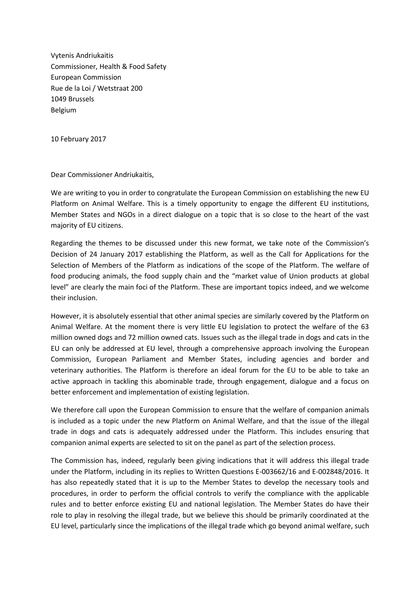Vytenis Andriukaitis Commissioner, Health & Food Safety European Commission Rue de la Loi / Wetstraat 200 1049 Brussels Belgium

10 February 2017

Dear Commissioner Andriukaitis,

We are writing to you in order to congratulate the European Commission on establishing the new EU Platform on Animal Welfare. This is a timely opportunity to engage the different EU institutions, Member States and NGOs in a direct dialogue on a topic that is so close to the heart of the vast majority of EU citizens.

Regarding the themes to be discussed under this new format, we take note of the Commission's Decision of 24 January 2017 establishing the Platform, as well as the Call for Applications for the Selection of Members of the Platform as indications of the scope of the Platform. The welfare of food producing animals, the food supply chain and the "market value of Union products at global level" are clearly the main foci of the Platform. These are important topics indeed, and we welcome their inclusion.

However, it is absolutely essential that other animal species are similarly covered by the Platform on Animal Welfare. At the moment there is very little EU legislation to protect the welfare of the 63 million owned dogs and 72 million owned cats. Issues such as the illegal trade in dogs and cats in the EU can only be addressed at EU level, through a comprehensive approach involving the European Commission, European Parliament and Member States, including agencies and border and veterinary authorities. The Platform is therefore an ideal forum for the EU to be able to take an active approach in tackling this abominable trade, through engagement, dialogue and a focus on better enforcement and implementation of existing legislation.

We therefore call upon the European Commission to ensure that the welfare of companion animals is included as a topic under the new Platform on Animal Welfare, and that the issue of the illegal trade in dogs and cats is adequately addressed under the Platform. This includes ensuring that companion animal experts are selected to sit on the panel as part of the selection process.

The Commission has, indeed, regularly been giving indications that it will address this illegal trade under the Platform, including in its replies to Written Questions E-003662/16 and E-002848/2016. It has also repeatedly stated that it is up to the Member States to develop the necessary tools and procedures, in order to perform the official controls to verify the compliance with the applicable rules and to better enforce existing EU and national legislation. The Member States do have their role to play in resolving the illegal trade, but we believe this should be primarily coordinated at the EU level, particularly since the implications of the illegal trade which go beyond animal welfare, such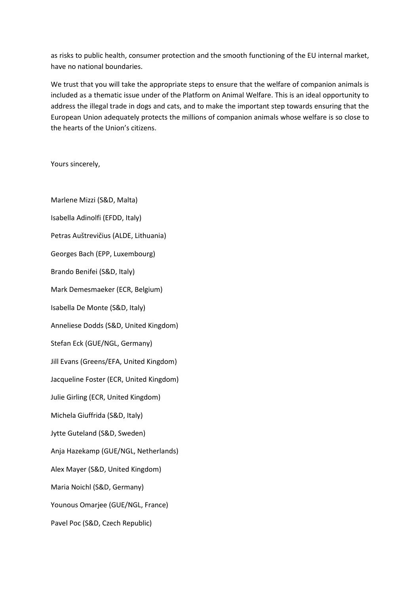as risks to public health, consumer protection and the smooth functioning of the EU internal market, have no national boundaries.

We trust that you will take the appropriate steps to ensure that the welfare of companion animals is included as a thematic issue under of the Platform on Animal Welfare. This is an ideal opportunity to address the illegal trade in dogs and cats, and to make the important step towards ensuring that the European Union adequately protects the millions of companion animals whose welfare is so close to the hearts of the Union's citizens.

Yours sincerely,

Marlene Mizzi (S&D, Malta) Isabella Adinolfi (EFDD, Italy) Petras Auštrevičius (ALDE, Lithuania) Georges Bach (EPP, Luxembourg) Brando Benifei (S&D, Italy) Mark Demesmaeker (ECR, Belgium) Isabella De Monte (S&D, Italy) Anneliese Dodds (S&D, United Kingdom) Stefan Eck (GUE/NGL, Germany) Jill Evans (Greens/EFA, United Kingdom) Jacqueline Foster (ECR, United Kingdom) Julie Girling (ECR, United Kingdom) Michela Giuffrida (S&D, Italy) Jytte Guteland (S&D, Sweden) Anja Hazekamp (GUE/NGL, Netherlands) Alex Mayer (S&D, United Kingdom) Maria Noichl (S&D, Germany) Younous Omarjee (GUE/NGL, France) Pavel Poc (S&D, Czech Republic)